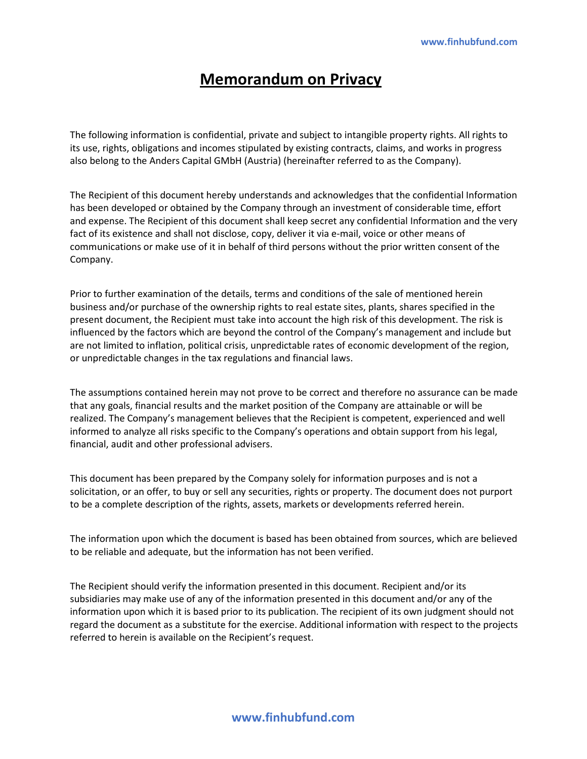# **Memorandum on Privacy**

The following information is confidential, private and subject to intangible property rights. All rights to its use, rights, obligations and incomes stipulated by existing contracts, claims, and works in progress also belong to the Anders Capital GMbH (Austria) (hereinafter referred to as the Company).

The Recipient of this document hereby understands and acknowledges that the confidential Information has been developed or obtained by the Company through an investment of considerable time, effort and expense. The Recipient of this document shall keep secret any confidential Information and the very fact of its existence and shall not disclose, copy, deliver it via e-mail, voice or other means of communications or make use of it in behalf of third persons without the prior written consent of the Company.

Prior to further examination of the details, terms and conditions of the sale of mentioned herein business and/or purchase of the ownership rights to real estate sites, plants, shares specified in the present document, the Recipient must take into account the high risk of this development. The risk is influenced by the factors which are beyond the control of the Company's management and include but are not limited to inflation, political crisis, unpredictable rates of economic development of the region, or unpredictable changes in the tax regulations and financial laws.

The assumptions contained herein may not prove to be correct and therefore no assurance can be made that any goals, financial results and the market position of the Company are attainable or will be realized. The Company's management believes that the Recipient is competent, experienced and well informed to analyze all risks specific to the Company's operations and obtain support from his legal, financial, audit and other professional advisers.

This document has been prepared by the Company solely for information purposes and is not a solicitation, or an offer, to buy or sell any securities, rights or property. The document does not purport to be a complete description of the rights, assets, markets or developments referred herein.

The information upon which the document is based has been obtained from sources, which are believed to be reliable and adequate, but the information has not been verified.

The Recipient should verify the information presented in this document. Recipient and/or its subsidiaries may make use of any of the information presented in this document and/or any of the information upon which it is based prior to its publication. The recipient of its own judgment should not regard the document as a substitute for the exercise. Additional information with respect to the projects referred to herein is available on the Recipient's request.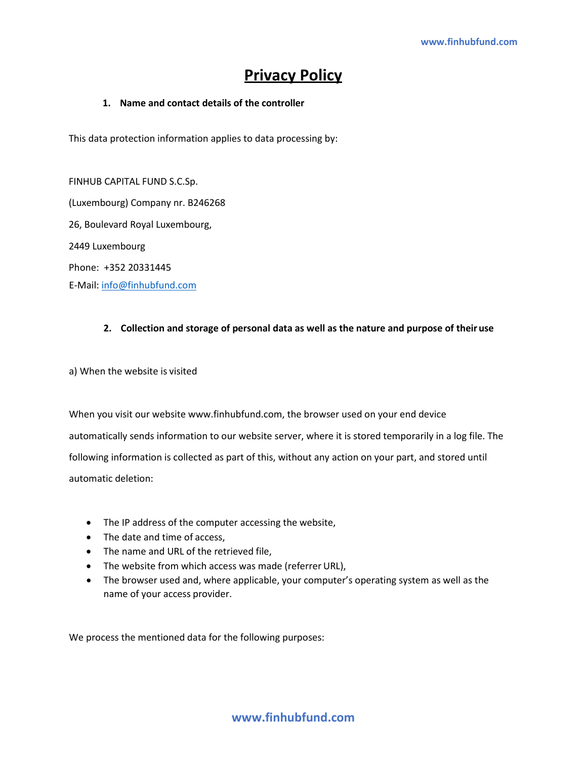# **Privacy Policy**

## **1. Name and contact details of the controller**

This data protection information applies to data processing by:

FINHUB CAPITAL FUND S.C.Sp. (Luxembourg) Company nr. B246268 26, Boulevard Royal Luxembourg, 2449 Luxembourg Phone: +352 20331445 E-Mail: [info@finhubfund.com](mailto:info@finhubfund.com)

## **2. Collection and storage of personal data as well as the nature and purpose of theiruse**

a) When the website is visited

When you visit our website [www.finhubfund.com, t](http://www.finhubfund.com/)he browser used on your end device automatically sends information to our website server, where it is stored temporarily in a log file. The following information is collected as part of this, without any action on your part, and stored until automatic deletion:

- The IP address of the computer accessing the website,
- The date and time of access,
- The name and URL of the retrieved file,
- The website from which access was made (referrer URL),
- The browser used and, where applicable, your computer's operating system as well as the name of your access provider.

We process the mentioned data for the following purposes: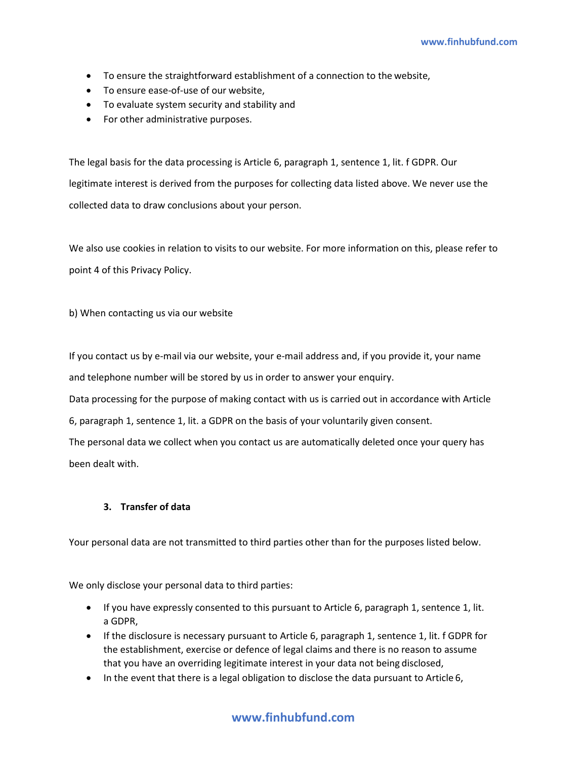- To ensure the straightforward establishment of a connection to the website,
- To ensure ease-of-use of our website,
- To evaluate system security and stability and
- For other administrative purposes.

The legal basis for the data processing is Article 6, paragraph 1, sentence 1, lit. f GDPR. Our legitimate interest is derived from the purposes for collecting data listed above. We never use the collected data to draw conclusions about your person.

We also use cookies in relation to visits to our website. For more information on this, please refer to point 4 of this Privacy Policy.

b) When contacting us via our website

If you contact us by e-mail via our website, your e-mail address and, if you provide it, your name and telephone number will be stored by us in order to answer your enquiry.

Data processing for the purpose of making contact with us is carried out in accordance with Article

6, paragraph 1, sentence 1, lit. a GDPR on the basis of your voluntarily given consent.

The personal data we collect when you contact us are automatically deleted once your query has been dealt with.

## **3. Transfer of data**

Your personal data are not transmitted to third parties other than for the purposes listed below.

We only disclose your personal data to third parties:

- If you have expressly consented to this pursuant to Article 6, paragraph 1, sentence 1, lit. a GDPR,
- If the disclosure is necessary pursuant to Article 6, paragraph 1, sentence 1, lit. f GDPR for the establishment, exercise or defence of legal claims and there is no reason to assume that you have an overriding legitimate interest in your data not being disclosed,
- In the event that there is a legal obligation to disclose the data pursuant to Article 6,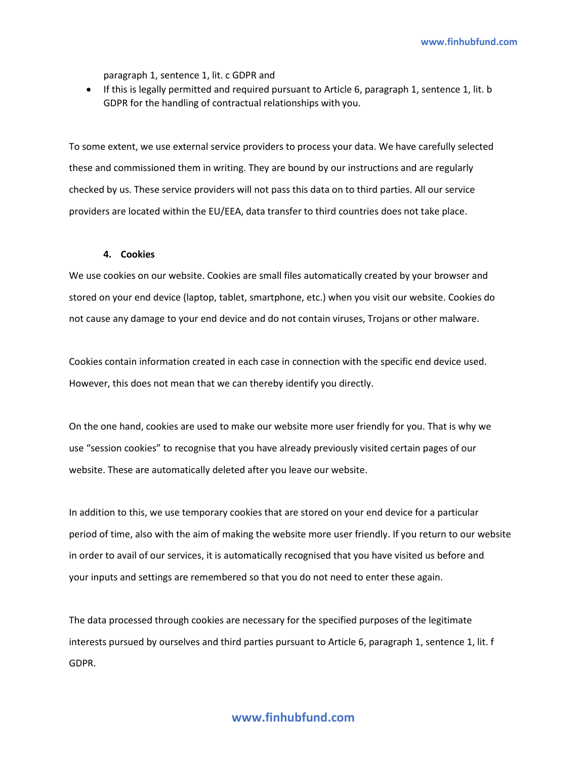paragraph 1, sentence 1, lit. c GDPR and

• If this is legally permitted and required pursuant to Article 6, paragraph 1, sentence 1, lit. b GDPR for the handling of contractual relationships with you.

To some extent, we use external service providers to process your data. We have carefully selected these and commissioned them in writing. They are bound by our instructions and are regularly checked by us. These service providers will not pass this data on to third parties. All our service providers are located within the EU/EEA, data transfer to third countries does not take place.

#### **4. Cookies**

We use cookies on our website. Cookies are small files automatically created by your browser and stored on your end device (laptop, tablet, smartphone, etc.) when you visit our website. Cookies do not cause any damage to your end device and do not contain viruses, Trojans or other malware.

Cookies contain information created in each case in connection with the specific end device used. However, this does not mean that we can thereby identify you directly.

On the one hand, cookies are used to make our website more user friendly for you. That is why we use "session cookies" to recognise that you have already previously visited certain pages of our website. These are automatically deleted after you leave our website.

In addition to this, we use temporary cookies that are stored on your end device for a particular period of time, also with the aim of making the website more user friendly. If you return to our website in order to avail of our services, it is automatically recognised that you have visited us before and your inputs and settings are remembered so that you do not need to enter these again.

The data processed through cookies are necessary for the specified purposes of the legitimate interests pursued by ourselves and third parties pursuant to Article 6, paragraph 1, sentence 1, lit. f GDPR.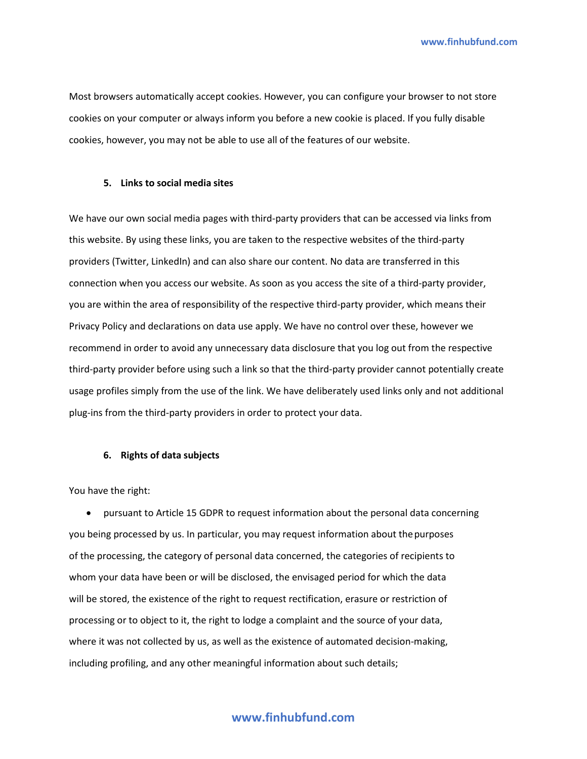**[www.finhubfund.com](http://www.finhubfund.com/)**

Most browsers automatically accept cookies. However, you can configure your browser to not store cookies on your computer or always inform you before a new cookie is placed. If you fully disable cookies, however, you may not be able to use all of the features of our website.

#### **5. Links to social media sites**

We have our own social media pages with third-party providers that can be accessed via links from this website. By using these links, you are taken to the respective websites of the third-party providers (Twitter, LinkedIn) and can also share our content. No data are transferred in this connection when you access our website. As soon as you access the site of a third-party provider, you are within the area of responsibility of the respective third-party provider, which means their Privacy Policy and declarations on data use apply. We have no control over these, however we recommend in order to avoid any unnecessary data disclosure that you log out from the respective third-party provider before using such a link so that the third-party provider cannot potentially create usage profiles simply from the use of the link. We have deliberately used links only and not additional plug-ins from the third-party providers in order to protect your data.

#### **6. Rights of data subjects**

You have the right:

• pursuant to Article 15 GDPR to request information about the personal data concerning you being processed by us. In particular, you may request information about thepurposes of the processing, the category of personal data concerned, the categories of recipients to whom your data have been or will be disclosed, the envisaged period for which the data will be stored, the existence of the right to request rectification, erasure or restriction of processing or to object to it, the right to lodge a complaint and the source of your data, where it was not collected by us, as well as the existence of automated decision-making, including profiling, and any other meaningful information about such details;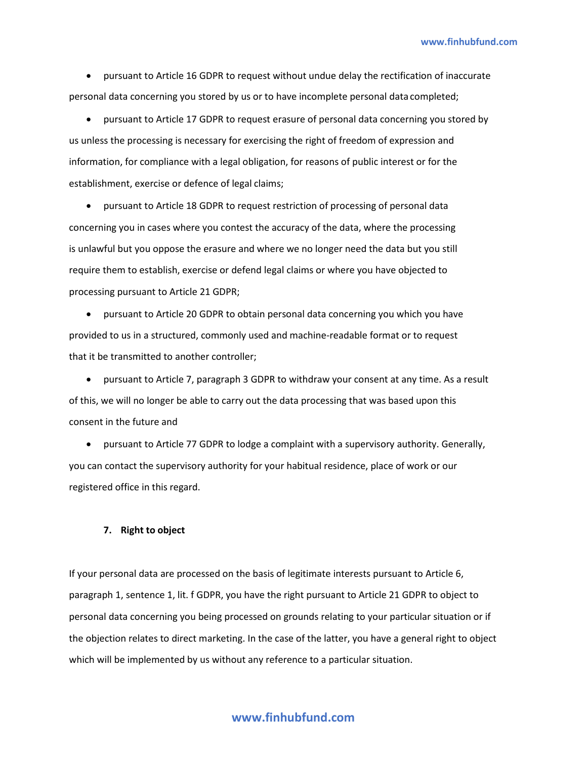• pursuant to Article 16 GDPR to request without undue delay the rectification of inaccurate personal data concerning you stored by us or to have incomplete personal data completed;

• pursuant to Article 17 GDPR to request erasure of personal data concerning you stored by us unless the processing is necessary for exercising the right of freedom of expression and information, for compliance with a legal obligation, for reasons of public interest or for the establishment, exercise or defence of legal claims;

• pursuant to Article 18 GDPR to request restriction of processing of personal data concerning you in cases where you contest the accuracy of the data, where the processing is unlawful but you oppose the erasure and where we no longer need the data but you still require them to establish, exercise or defend legal claims or where you have objected to processing pursuant to Article 21 GDPR;

• pursuant to Article 20 GDPR to obtain personal data concerning you which you have provided to us in a structured, commonly used and machine-readable format or to request that it be transmitted to another controller;

• pursuant to Article 7, paragraph 3 GDPR to withdraw your consent at any time. As a result of this, we will no longer be able to carry out the data processing that was based upon this consent in the future and

• pursuant to Article 77 GDPR to lodge a complaint with a supervisory authority. Generally, you can contact the supervisory authority for your habitual residence, place of work or our registered office in this regard.

#### **7. Right to object**

If your personal data are processed on the basis of legitimate interests pursuant to Article 6, paragraph 1, sentence 1, lit. f GDPR, you have the right pursuant to Article 21 GDPR to object to personal data concerning you being processed on grounds relating to your particular situation or if the objection relates to direct marketing. In the case of the latter, you have a general right to object which will be implemented by us without any reference to a particular situation.